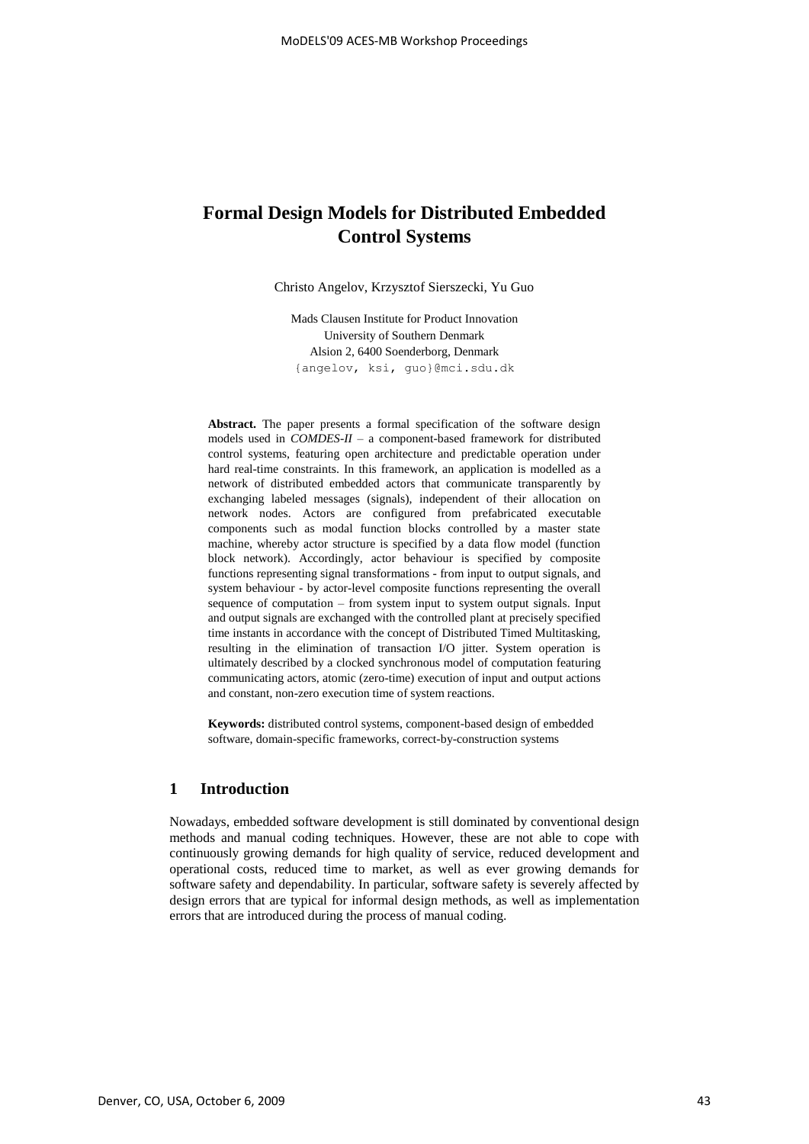# **Formal Design Models for Distributed Embedded Control Systems**

Christo Angelov, Krzysztof Sierszecki, Yu Guo

Mads Clausen Institute for Product Innovation University of Southern Denmark Alsion 2, 6400 Soenderborg, Denmark {angelov, ksi, guo}@mci.sdu.dk

**Abstract.** The paper presents a formal specification of the software design models used in *COMDES-II* – a component-based framework for distributed control systems, featuring open architecture and predictable operation under hard real-time constraints. In this framework, an application is modelled as a network of distributed embedded actors that communicate transparently by exchanging labeled messages (signals), independent of their allocation on network nodes. Actors are configured from prefabricated executable components such as modal function blocks controlled by a master state machine, whereby actor structure is specified by a data flow model (function block network). Accordingly, actor behaviour is specified by composite functions representing signal transformations - from input to output signals, and system behaviour - by actor-level composite functions representing the overall sequence of computation – from system input to system output signals. Input and output signals are exchanged with the controlled plant at precisely specified time instants in accordance with the concept of Distributed Timed Multitasking, resulting in the elimination of transaction I/O jitter. System operation is ultimately described by a clocked synchronous model of computation featuring communicating actors, atomic (zero-time) execution of input and output actions and constant, non-zero execution time of system reactions.

**Keywords:** distributed control systems, component-based design of embedded software, domain-specific frameworks, correct-by-construction systems

# **1 Introduction**

Nowadays, embedded software development is still dominated by conventional design methods and manual coding techniques. However, these are not able to cope with continuously growing demands for high quality of service, reduced development and operational costs, reduced time to market, as well as ever growing demands for software safety and dependability. In particular, software safety is severely affected by design errors that are typical for informal design methods, as well as implementation errors that are introduced during the process of manual coding.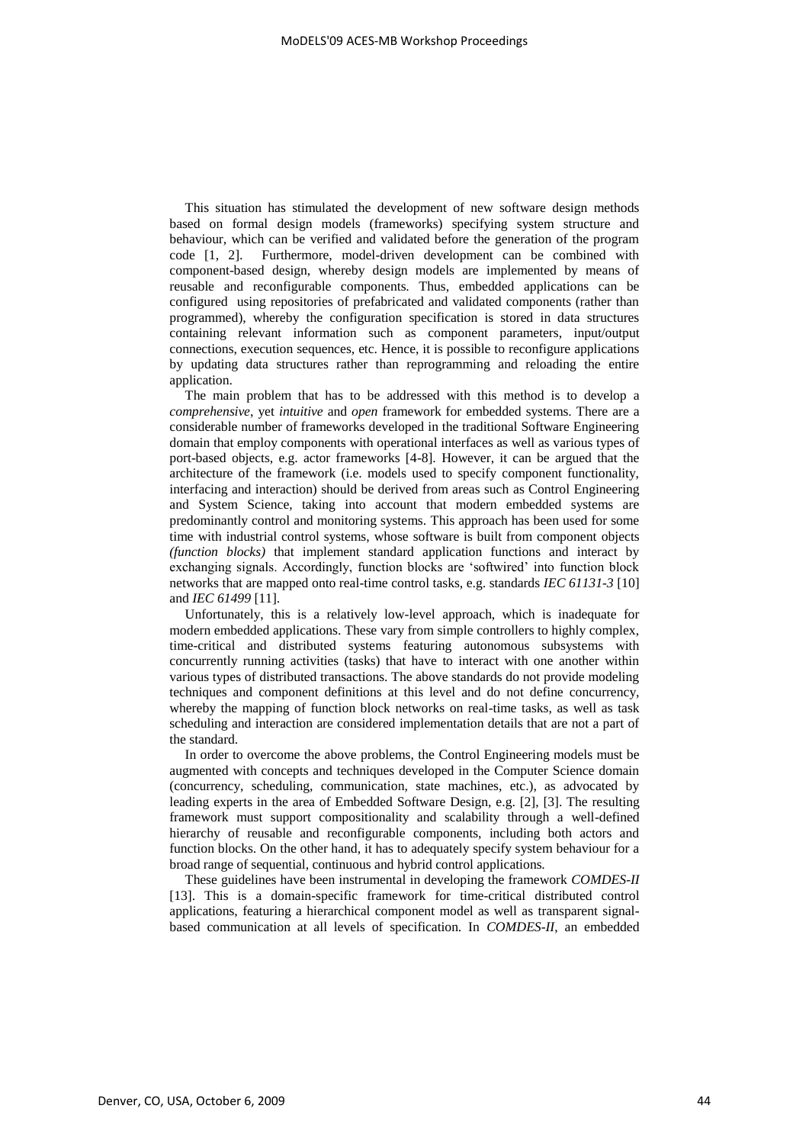This situation has stimulated the development of new software design methods based on formal design models (frameworks) specifying system structure and behaviour, which can be verified and validated before the generation of the program code [1, 2]. Furthermore, model-driven development can be combined with component-based design, whereby design models are implemented by means of reusable and reconfigurable components. Thus, embedded applications can be configured using repositories of prefabricated and validated components (rather than programmed), whereby the configuration specification is stored in data structures containing relevant information such as component parameters, input/output connections, execution sequences, etc. Hence, it is possible to reconfigure applications by updating data structures rather than reprogramming and reloading the entire application.

The main problem that has to be addressed with this method is to develop a *comprehensive*, yet *intuitive* and *open* framework for embedded systems. There are a considerable number of frameworks developed in the traditional Software Engineering domain that employ components with operational interfaces as well as various types of port-based objects, e.g. actor frameworks [4-8]. However, it can be argued that the architecture of the framework (i.e. models used to specify component functionality, interfacing and interaction) should be derived from areas such as Control Engineering and System Science, taking into account that modern embedded systems are predominantly control and monitoring systems. This approach has been used for some time with industrial control systems, whose software is built from component objects *(function blocks)* that implement standard application functions and interact by exchanging signals. Accordingly, function blocks are "softwired" into function block networks that are mapped onto real-time control tasks, e.g. standards *IEC 61131-3* [10] and *IEC 61499* [11].

Unfortunately, this is a relatively low-level approach, which is inadequate for modern embedded applications. These vary from simple controllers to highly complex, time-critical and distributed systems featuring autonomous subsystems with concurrently running activities (tasks) that have to interact with one another within various types of distributed transactions. The above standards do not provide modeling techniques and component definitions at this level and do not define concurrency, whereby the mapping of function block networks on real-time tasks, as well as task scheduling and interaction are considered implementation details that are not a part of the standard.

In order to overcome the above problems, the Control Engineering models must be augmented with concepts and techniques developed in the Computer Science domain (concurrency, scheduling, communication, state machines, etc.), as advocated by leading experts in the area of Embedded Software Design, e.g. [2], [3]. The resulting framework must support compositionality and scalability through a well-defined hierarchy of reusable and reconfigurable components, including both actors and function blocks. On the other hand, it has to adequately specify system behaviour for a broad range of sequential, continuous and hybrid control applications.

These guidelines have been instrumental in developing the framework *COMDES-II* [13]. This is a domain-specific framework for time-critical distributed control applications, featuring a hierarchical component model as well as transparent signalbased communication at all levels of specification. In *COMDES-II*, an embedded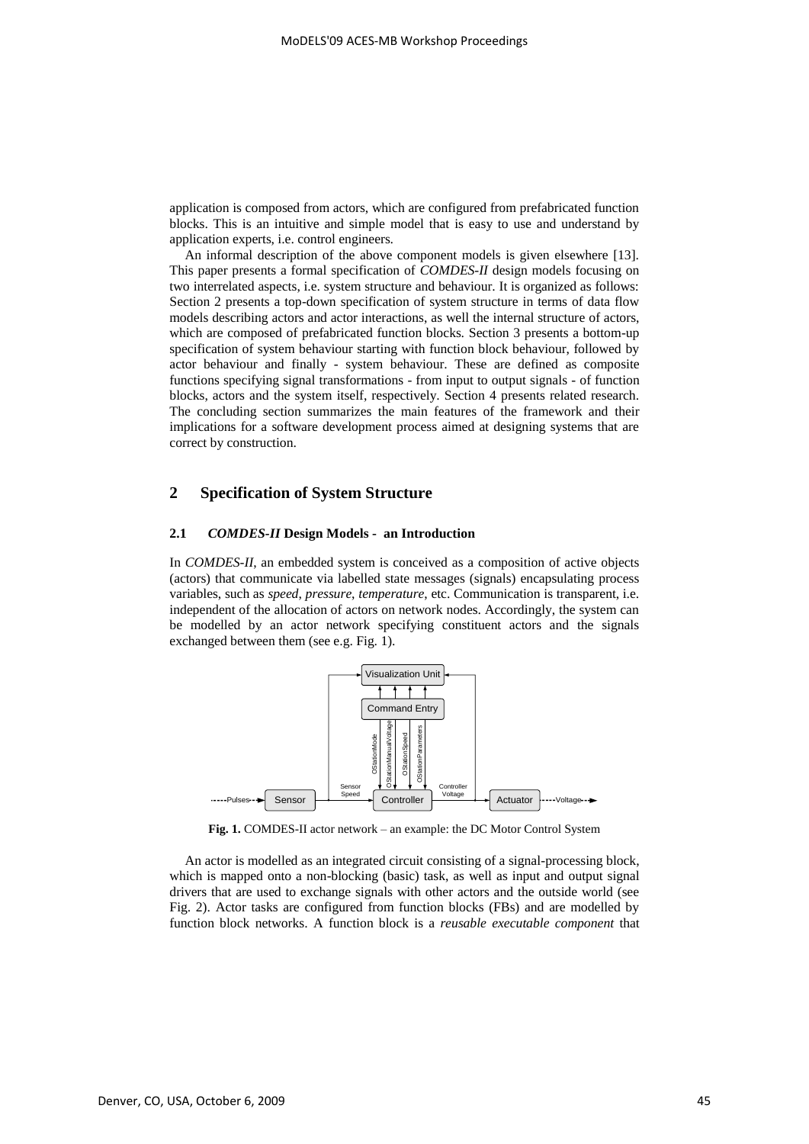application is composed from actors, which are configured from prefabricated function blocks. This is an intuitive and simple model that is easy to use and understand by application experts, i.e. control engineers.

An informal description of the above component models is given elsewhere [13]. This paper presents a formal specification of *COMDES-II* design models focusing on two interrelated aspects, i.e. system structure and behaviour. It is organized as follows: Section 2 presents a top-down specification of system structure in terms of data flow models describing actors and actor interactions, as well the internal structure of actors, which are composed of prefabricated function blocks. Section 3 presents a bottom-up specification of system behaviour starting with function block behaviour, followed by actor behaviour and finally - system behaviour. These are defined as composite functions specifying signal transformations - from input to output signals - of function blocks, actors and the system itself, respectively. Section 4 presents related research. The concluding section summarizes the main features of the framework and their implications for a software development process aimed at designing systems that are correct by construction.

# **2 Specification of System Structure**

#### **2.1** *COMDES-II* **Design Models - an Introduction**

In *COMDES-II*, an embedded system is conceived as a composition of active objects (actors) that communicate via labelled state messages (signals) encapsulating process variables, such as *speed*, *pressure*, *temperature*, etc. Communication is transparent, i.e. independent of the allocation of actors on network nodes. Accordingly, the system can be modelled by an actor network specifying constituent actors and the signals exchanged between them (see e.g. Fig. 1).



**Fig. 1.** COMDES-II actor network – an example: the DC Motor Control System

An actor is modelled as an integrated circuit consisting of a signal-processing block, which is mapped onto a non-blocking (basic) task, as well as input and output signal drivers that are used to exchange signals with other actors and the outside world (see Fig. 2). Actor tasks are configured from function blocks (FBs) and are modelled by function block networks. A function block is a *reusable executable component* that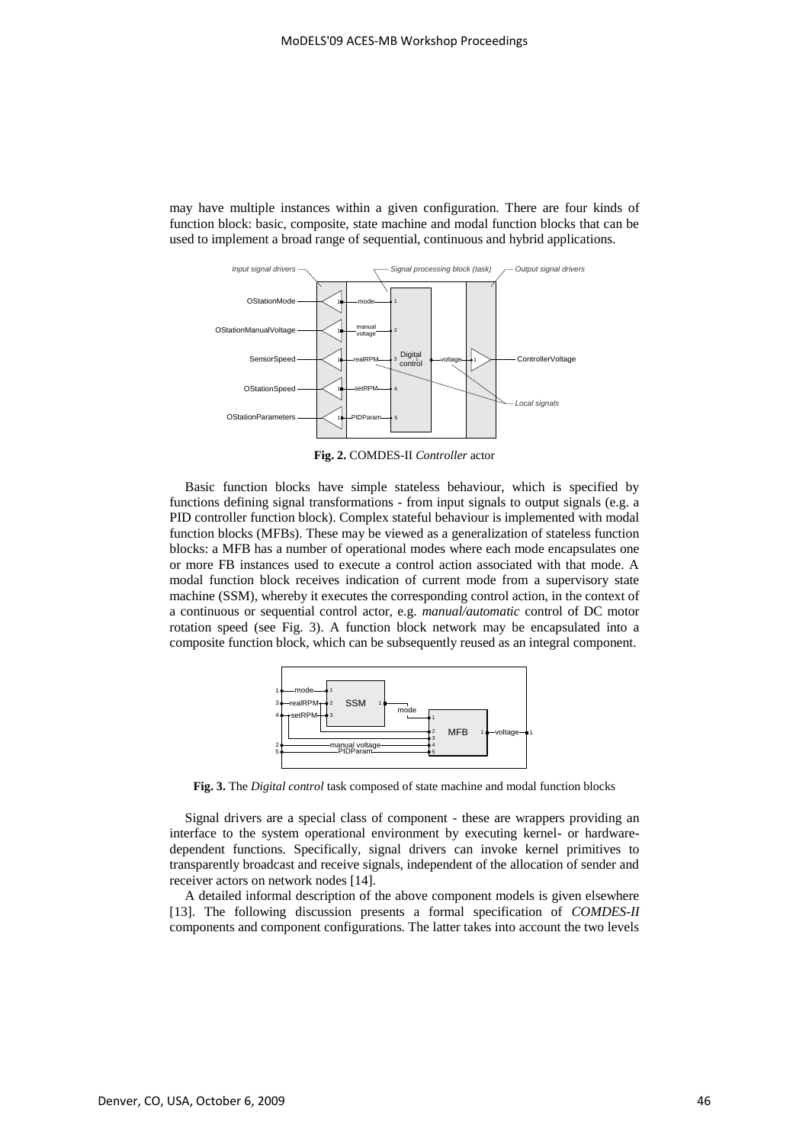may have multiple instances within a given configuration. There are four kinds of function block: basic, composite, state machine and modal function blocks that can be used to implement a broad range of sequential, continuous and hybrid applications.



**Fig. 2.** COMDES-II *Controller* actor

Basic function blocks have simple stateless behaviour, which is specified by functions defining signal transformations - from input signals to output signals (e.g. a PID controller function block). Complex stateful behaviour is implemented with modal function blocks (MFBs). These may be viewed as a generalization of stateless function blocks: a MFB has a number of operational modes where each mode encapsulates one or more FB instances used to execute a control action associated with that mode. A modal function block receives indication of current mode from a supervisory state machine (SSM), whereby it executes the corresponding control action, in the context of a continuous or sequential control actor, e.g. *manual/automatic* control of DC motor rotation speed (see Fig. 3). A function block network may be encapsulated into a composite function block, which can be subsequently reused as an integral component.



**Fig. 3.** The *Digital control* task composed of state machine and modal function blocks

Signal drivers are a special class of component - these are wrappers providing an interface to the system operational environment by executing kernel- or hardwaredependent functions. Specifically, signal drivers can invoke kernel primitives to transparently broadcast and receive signals, independent of the allocation of sender and receiver actors on network nodes [14].

A detailed informal description of the above component models is given elsewhere [13]. The following discussion presents a formal specification of *COMDES-II* components and component configurations. The latter takes into account the two levels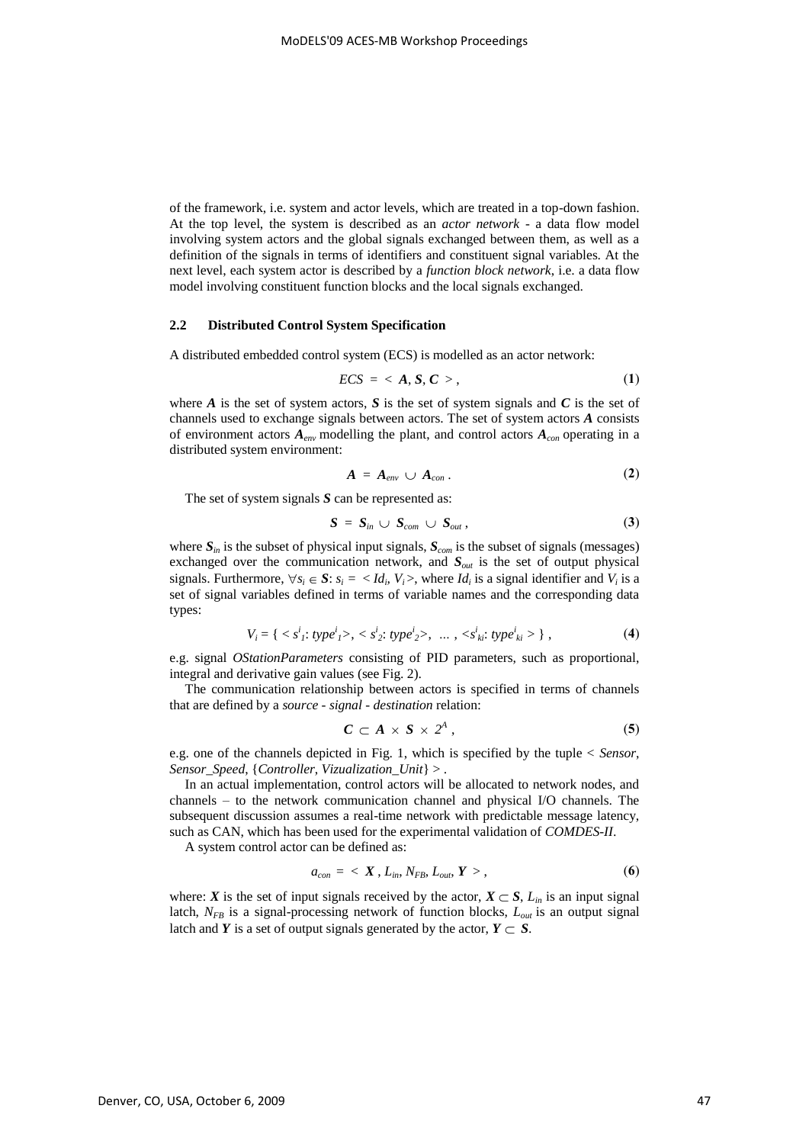of the framework, i.e. system and actor levels, which are treated in a top-down fashion. At the top level, the system is described as an *actor network* - a data flow model involving system actors and the global signals exchanged between them, as well as a definition of the signals in terms of identifiers and constituent signal variables. At the next level, each system actor is described by a *function block network*, i.e. a data flow model involving constituent function blocks and the local signals exchanged.

## **2.2 Distributed Control System Specification**

A distributed embedded control system (ECS) is modelled as an actor network:

$$
ECS = \langle A, S, C \rangle, \tag{1}
$$

where  $\vec{A}$  is the set of system actors,  $\vec{S}$  is the set of system signals and  $\vec{C}$  is the set of channels used to exchange signals between actors. The set of system actors *A* consists of environment actors  $A_{env}$  modelling the plant, and control actors  $A_{con}$  operating in a distributed system environment:

$$
A = A_{env} \cup A_{con} . \tag{2}
$$

The set of system signals *S* can be represented as:

$$
S = S_{in} \cup S_{com} \cup S_{out}, \qquad (3)
$$

where  $S_{in}$  is the subset of physical input signals,  $S_{com}$  is the subset of signals (messages) exchanged over the communication network, and *Sout* is the set of output physical signals. Furthermore,  $\forall s_i \in S$ :  $s_i = \langle Id_i, V_i \rangle$ , where  $Id_i$  is a signal identifier and  $V_i$  is a set of signal variables defined in terms of variable names and the corresponding data types:

$$
V_i = \{ \langle s^i_1 : type^i_1 \rangle, \langle s^i_2 : type^i_2 \rangle, \dots, \langle s^i_k : type^i_k \rangle \},\tag{4}
$$

e.g. signal *OStationParameters* consisting of PID parameters, such as proportional, integral and derivative gain values (see Fig. 2).

The communication relationship between actors is specified in terms of channels that are defined by a *source - signal - destination* relation:

$$
C \subset A \times S \times 2^A \tag{5}
$$

e.g. one of the channels depicted in Fig. 1, which is specified by the tuple < *Sensor*, *Sensor\_Speed*, {*Controller*, *Vizualization\_Unit*} > .

In an actual implementation, control actors will be allocated to network nodes, and channels – to the network communication channel and physical I/O channels. The subsequent discussion assumes a real-time network with predictable message latency, such as CAN, which has been used for the experimental validation of *COMDES-II*.

A system control actor can be defined as:

$$
a_{con} = \langle X, L_{in}, N_{FB}, L_{out}, Y \rangle, \qquad (6)
$$

where: *X* is the set of input signals received by the actor,  $X \subset S$ ,  $L_{in}$  is an input signal latch,  $N_{FB}$  is a signal-processing network of function blocks,  $L_{out}$  is an output signal latch and *Y* is a set of output signals generated by the actor,  $Y \subset S$ .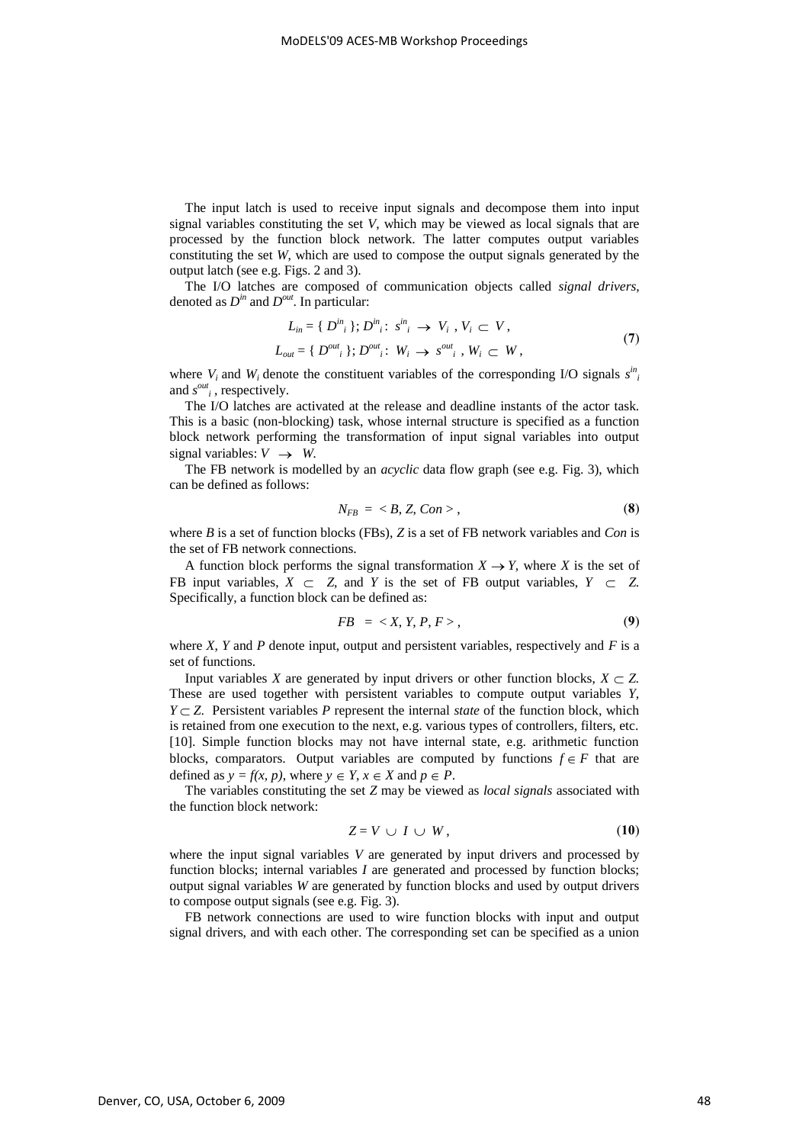The input latch is used to receive input signals and decompose them into input signal variables constituting the set *V*, which may be viewed as local signals that are processed by the function block network. The latter computes output variables constituting the set *W*, which are used to compose the output signals generated by the output latch (see e.g. Figs. 2 and 3).

The I/O latches are composed of communication objects called *signal drivers*, denoted as  $D^{in}$  and  $D^{out}$ . In particular:

$$
L_{in} = \{ D^{in} \mid \sum_{i=1}^{m} \sum_{j=1}^{m} \sigma_{ij} \geq V_i \mid V_i \subset V, L_{out} = \{ D^{out} \mid \sum_{j=1}^{m} \sum_{j=1}^{m} \sigma_{ij} \mid W_i \to s^{out} \mid W_i \subset W,
$$
\n(7)

where  $V_i$  and  $W_i$  denote the constituent variables of the corresponding I/O signals  $s^{in}$ and  $s^{out}$ , respectively.

The I/O latches are activated at the release and deadline instants of the actor task. This is a basic (non-blocking) task, whose internal structure is specified as a function block network performing the transformation of input signal variables into output signal variables:  $V \rightarrow W$ .

The FB network is modelled by an *acyclic* data flow graph (see e.g. Fig. 3), which can be defined as follows:

$$
N_{FB} = \langle B, Z, Con \rangle, \qquad (8)
$$

where *B* is a set of function blocks (FBs), *Z* is a set of FB network variables and *Con* is the set of FB network connections.

A function block performs the signal transformation  $X \to Y$ , where *X* is the set of FB input variables,  $X \subset Z$ , and *Y* is the set of FB output variables,  $Y \subset Z$ . Specifically, a function block can be defined as:

$$
FB = \langle X, Y, P, F \rangle, \tag{9}
$$

where *X*, *Y* and *P* denote input, output and persistent variables, respectively and *F* is a set of functions.

Input variables *X* are generated by input drivers or other function blocks,  $X \subset Z$ . These are used together with persistent variables to compute output variables *Y*,  $Y \subset Z$ . Persistent variables *P* represent the internal *state* of the function block, which is retained from one execution to the next, e.g. various types of controllers, filters, etc. [10]. Simple function blocks may not have internal state, e.g. arithmetic function blocks, comparators. Output variables are computed by functions  $f \in F$  that are defined as  $y = f(x, p)$ , where  $y \in Y$ ,  $x \in X$  and  $p \in P$ .

The variables constituting the set *Z* may be viewed as *local signals* associated with the function block network:

$$
Z = V \cup I \cup W, \tag{10}
$$

where the input signal variables *V* are generated by input drivers and processed by function blocks; internal variables *I* are generated and processed by function blocks; output signal variables *W* are generated by function blocks and used by output drivers to compose output signals (see e.g. Fig. 3).

FB network connections are used to wire function blocks with input and output signal drivers, and with each other. The corresponding set can be specified as a union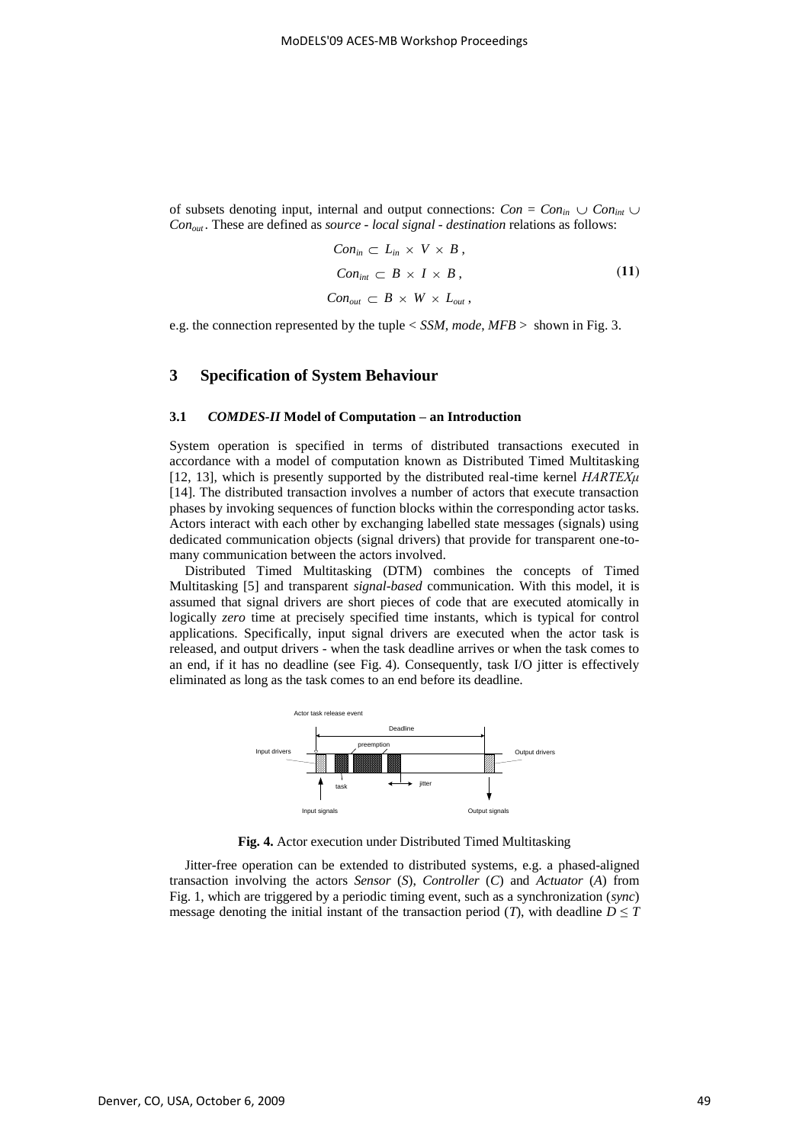of subsets denoting input, internal and output connections:  $Con = Con_{in} \cup Con_{int} \cup$ *Conout .* These are defined as *source - local signal - destination* relations as follows:

$$
Conin \subset Lin \times V \times B,
$$
  
\n
$$
Conint \subset B \times I \times B,
$$
  
\n
$$
Conout \subset B \times W \times Lout,
$$
\n(11)

e.g. the connection represented by the tuple < *SSM*, *mode*, *MFB* > shown in Fig. 3.

# **3 Specification of System Behaviour**

#### **3.1** *COMDES-II* **Model of Computation – an Introduction**

System operation is specified in terms of distributed transactions executed in accordance with a model of computation known as Distributed Timed Multitasking [12, 13], which is presently supported by the distributed real-time kernel *HARTEXμ* [14]. The distributed transaction involves a number of actors that execute transaction phases by invoking sequences of function blocks within the corresponding actor tasks. Actors interact with each other by exchanging labelled state messages (signals) using dedicated communication objects (signal drivers) that provide for transparent one-tomany communication between the actors involved.

Distributed Timed Multitasking (DTM) combines the concepts of Timed Multitasking [5] and transparent *signal-based* communication. With this model, it is assumed that signal drivers are short pieces of code that are executed atomically in logically *zero* time at precisely specified time instants, which is typical for control applications. Specifically, input signal drivers are executed when the actor task is released, and output drivers - when the task deadline arrives or when the task comes to an end, if it has no deadline (see Fig. 4). Consequently, task I/O jitter is effectively eliminated as long as the task comes to an end before its deadline.



**Fig. 4.** Actor execution under Distributed Timed Multitasking

Jitter-free operation can be extended to distributed systems, e.g. a phased-aligned transaction involving the actors *Sensor* (*S*), *Controller* (*C*) and *Actuator* (*A*) from Fig. 1, which are triggered by a periodic timing event, such as a synchronization (*sync*) message denoting the initial instant of the transaction period (*T*), with deadline  $D \leq T$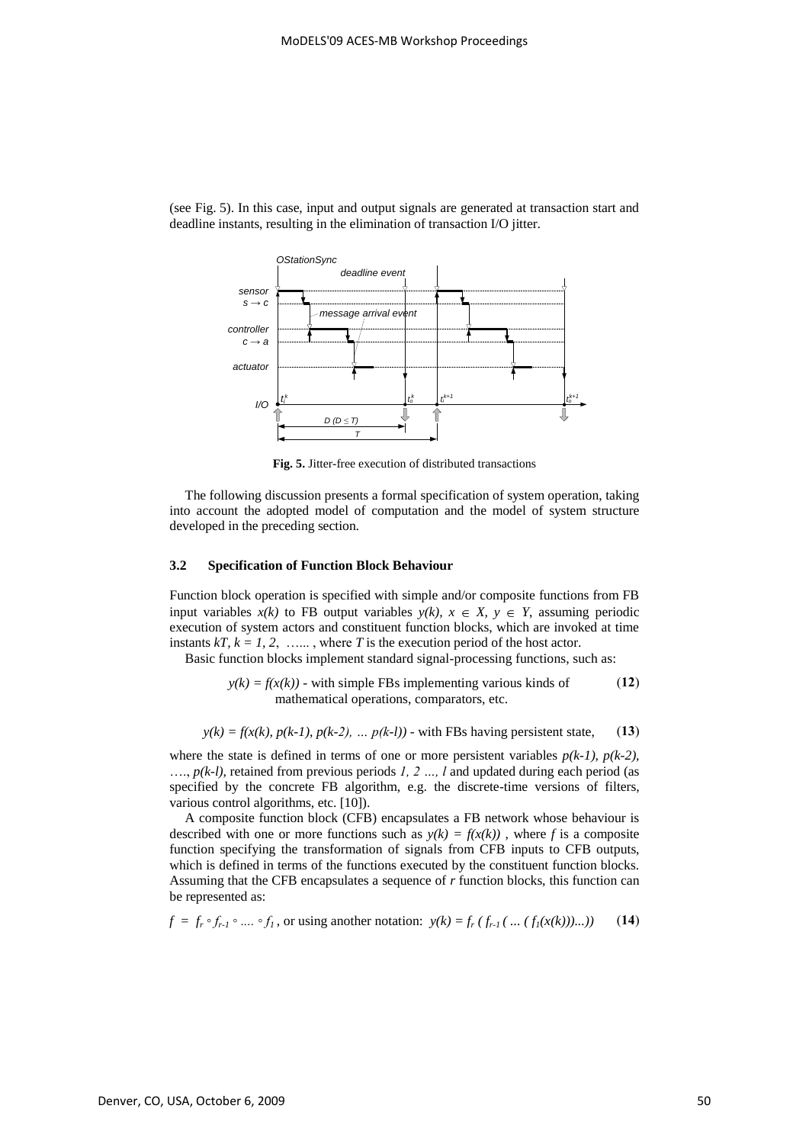

(see Fig. 5). In this case, input and output signals are generated at transaction start and deadline instants, resulting in the elimination of transaction I/O jitter.

**Fig. 5.** Jitter-free execution of distributed transactions

The following discussion presents a formal specification of system operation, taking into account the adopted model of computation and the model of system structure developed in the preceding section.

## **3.2 Specification of Function Block Behaviour**

Function block operation is specified with simple and/or composite functions from FB input variables  $x(k)$  to FB output variables  $y(k)$ ,  $x \in X$ ,  $y \in Y$ , assuming periodic execution of system actors and constituent function blocks, which are invoked at time instants  $kT$ ,  $k = 1, 2, \ldots$ , where T is the execution period of the host actor.

Basic function blocks implement standard signal-processing functions, such as:

$$
y(k) = f(x(k))
$$
 - with simple FBs implementing various kinds of mathematical operations, comparators, etc. (12)

$$
y(k) = f(x(k), p(k-1), p(k-2), \dots p(k-l))
$$
 - with FBs having persistent state, (13)

where the state is defined in terms of one or more persistent variables  $p(k-1)$ ,  $p(k-2)$ , …., *p(k-l),* retained from previous periods *1, 2 …, l* and updated during each period (as specified by the concrete FB algorithm, e.g. the discrete-time versions of filters, various control algorithms, etc. [10]).

A composite function block (CFB) encapsulates a FB network whose behaviour is described with one or more functions such as  $y(k) = f(x(k))$ , where f is a composite function specifying the transformation of signals from CFB inputs to CFB outputs, which is defined in terms of the functions executed by the constituent function blocks. Assuming that the CFB encapsulates a sequence of *r* function blocks, this function can be represented as:

$$
f = f_r \circ f_{r-1} \circ \dots \circ f_1
$$
, or using another notation:  $y(k) = f_r (f_{r-1}(\dots (f_1(x(k))))...))$  (14)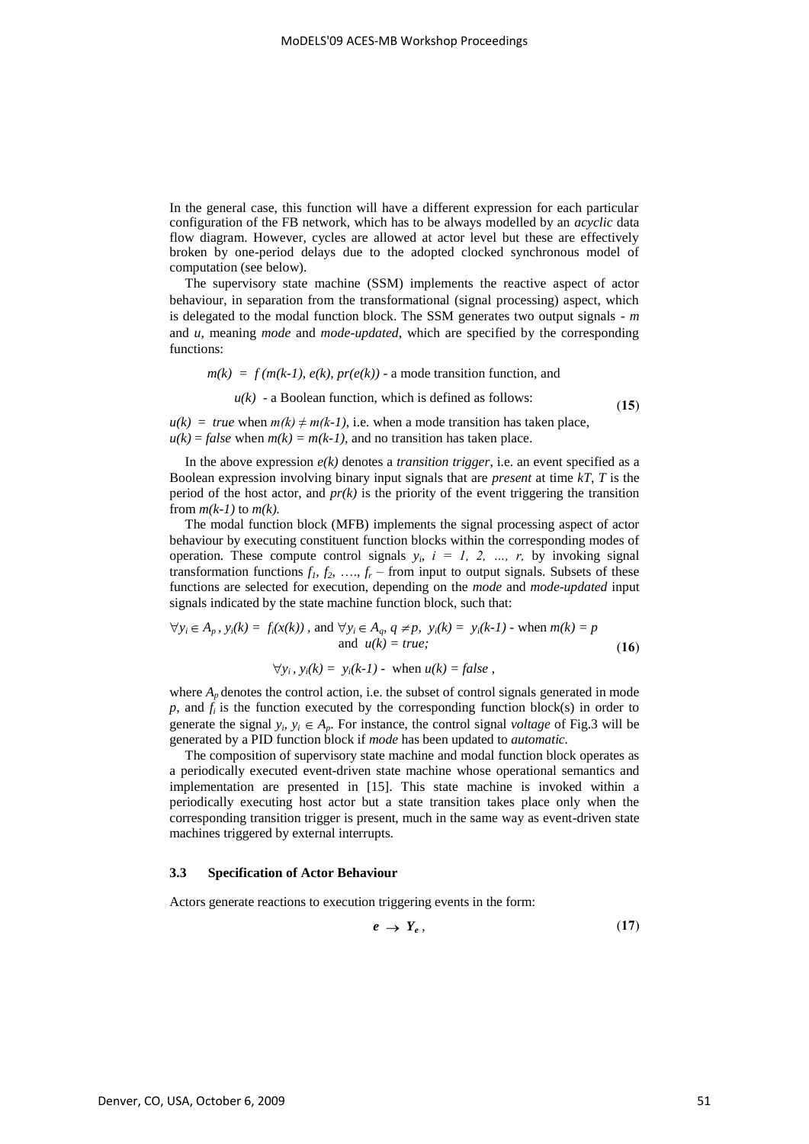In the general case, this function will have a different expression for each particular configuration of the FB network, which has to be always modelled by an *acyclic* data flow diagram. However, cycles are allowed at actor level but these are effectively broken by one-period delays due to the adopted clocked synchronous model of computation (see below).

The supervisory state machine (SSM) implements the reactive aspect of actor behaviour, in separation from the transformational (signal processing) aspect, which is delegated to the modal function block. The SSM generates two output signals - *m* and *u*, meaning *mode* and *mode-updated*, which are specified by the corresponding functions:

$$
m(k) = f(m(k-1), e(k), pr(e(k))
$$
 - a mode transition function, and

 $u(k)$  - a Boolean function, which is defined as follows:

(**15**)

 $u(k) = true$  when  $m(k) \neq m(k-1)$ , i.e. when a mode transition has taken place,  $u(k) = false$  when  $m(k) = m(k-1)$ , and no transition has taken place.

In the above expression  $e(k)$  denotes a *transition trigger*, i.e. an event specified as a Boolean expression involving binary input signals that are *present* at time *kT*, *T* is the period of the host actor, and *pr(k)* is the priority of the event triggering the transition from  $m(k-1)$  to  $m(k)$ .

The modal function block (MFB) implements the signal processing aspect of actor behaviour by executing constituent function blocks within the corresponding modes of operation. These compute control signals  $y_i$ ,  $i = 1, 2, ..., r$ , by invoking signal transformation functions  $f_1, f_2, \ldots, f_r$  – from input to output signals. Subsets of these functions are selected for execution, depending on the *mode* and *mode-updated* input signals indicated by the state machine function block, such that:

$$
\forall y_i \in A_p, y_i(k) = f_i(x(k)), \text{ and } \forall y_i \in A_q, q \neq p, y_i(k) = y_i(k-1) \text{ - when } m(k) = p
$$
  
and  $u(k) = true;$  (16)

$$
\forall y_i, y_i(k) = y_i(k-1) - \text{ when } u(k) = false,
$$

where  $A_p$  denotes the control action, i.e. the subset of control signals generated in mode  $p$ , and  $f_i$  is the function executed by the corresponding function block(s) in order to generate the signal  $y_i$ ,  $y_i \in A_p$ . For instance, the control signal *voltage* of Fig.3 will be generated by a PID function block if *mode* has been updated to *automatic.*

The composition of supervisory state machine and modal function block operates as a periodically executed event-driven state machine whose operational semantics and implementation are presented in [15]. This state machine is invoked within a periodically executing host actor but a state transition takes place only when the corresponding transition trigger is present, much in the same way as event-driven state machines triggered by external interrupts.

#### **3.3 Specification of Actor Behaviour**

Actors generate reactions to execution triggering events in the form:

$$
e \rightarrow Y_e, \tag{17}
$$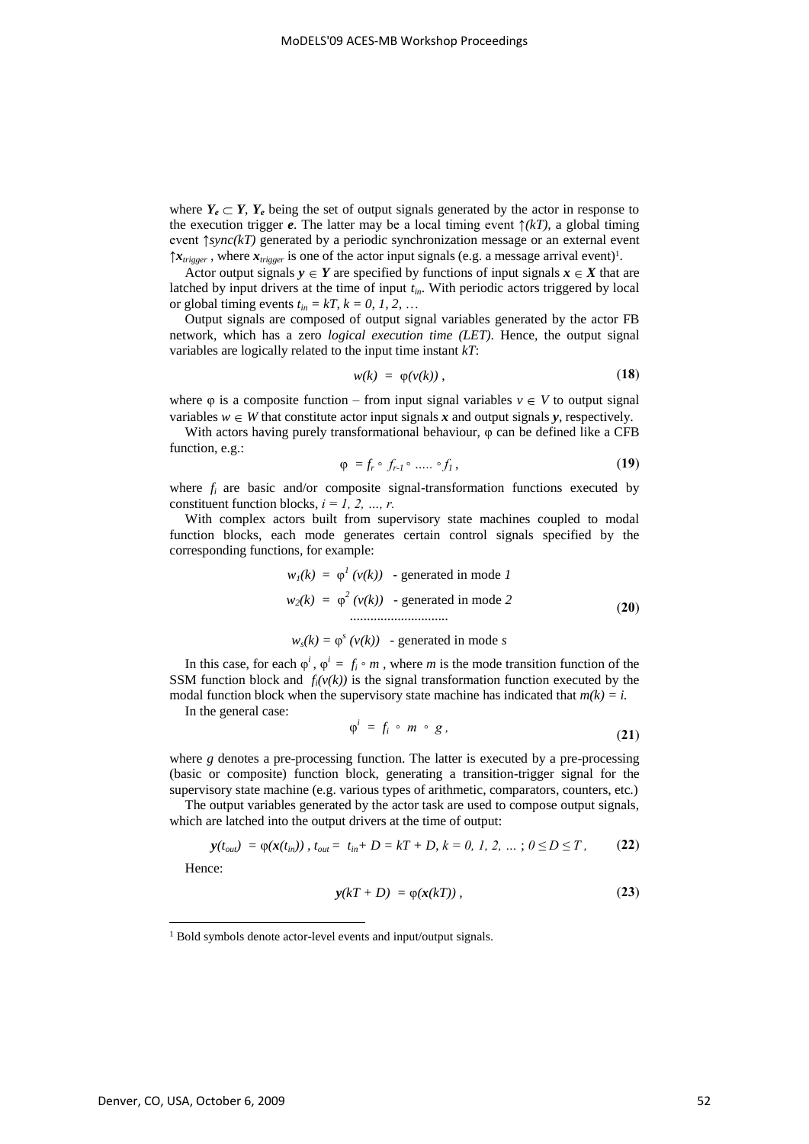where  $Y_e \subset Y$ ,  $Y_e$  being the set of output signals generated by the actor in response to the execution trigger *e*. The latter may be a local timing event  $\hat{\tau}(kT)$ , a global timing event ↑*sync(kT)* generated by a periodic synchronization message or an external event  $\hat{x}_{trigger}$ , where  $\hat{x}_{trigger}$  is one of the actor input signals (e.g. a message arrival event)<sup>1</sup>.

Actor output signals  $y \in Y$  are specified by functions of input signals  $x \in X$  that are latched by input drivers at the time of input *tin*. With periodic actors triggered by local or global timing events  $t_{in} = kT$ ,  $k = 0, 1, 2, ...$ 

Output signals are composed of output signal variables generated by the actor FB network, which has a zero *logical execution time (LET)*. Hence, the output signal variables are logically related to the input time instant *kT*:

$$
w(k) = \varphi(v(k)), \qquad (18)
$$

where  $\varphi$  is a composite function – from input signal variables  $v \in V$  to output signal variables  $w \in W$  that constitute actor input signals *x* and output signals *y*, respectively.

With actors having purely transformational behaviour, φ can be defined like a CFB function, e.g.:

$$
\varphi = f_r \circ f_{r-1} \circ \dots \circ f_1, \tag{19}
$$

where  $f_i$  are basic and/or composite signal-transformation functions executed by constituent function blocks,  $i = 1, 2, ..., r$ .

With complex actors built from supervisory state machines coupled to modal function blocks, each mode generates certain control signals specified by the corresponding functions, for example:

$$
wI(k) = \varphiI (v(k))
$$
 - generated in mode *I*  

$$
w2(k) = \varphi2 (v(k))
$$
 - generated in mode 2 (20)

$$
w_s(k) = \varphi^s(v(k))
$$
 - generated in mode *s*

In this case, for each  $\varphi^i$ ,  $\varphi^i = f_i \circ m$ , where *m* is the mode transition function of the SSM function block and  $f_i(v(k))$  is the signal transformation function executed by the modal function block when the supervisory state machine has indicated that  $m(k) = i$ .

In the general case:

$$
\varphi^i = f_i \circ m \circ g \,, \tag{21}
$$

where *g* denotes a pre-processing function. The latter is executed by a pre-processing (basic or composite) function block, generating a transition-trigger signal for the supervisory state machine (e.g. various types of arithmetic, comparators, counters, etc.)

The output variables generated by the actor task are used to compose output signals, which are latched into the output drivers at the time of output:

$$
\mathbf{y}(t_{out}) = \varphi(\mathbf{x}(t_{in})), \ t_{out} = t_{in} + D = kT + D, \ k = 0, 1, 2, \ldots; 0 \leq D \leq T,
$$
 (22)

Hence:

-

$$
y(kT+D) = \varphi(x(kT)), \qquad (23)
$$

<sup>&</sup>lt;sup>1</sup> Bold symbols denote actor-level events and input/output signals.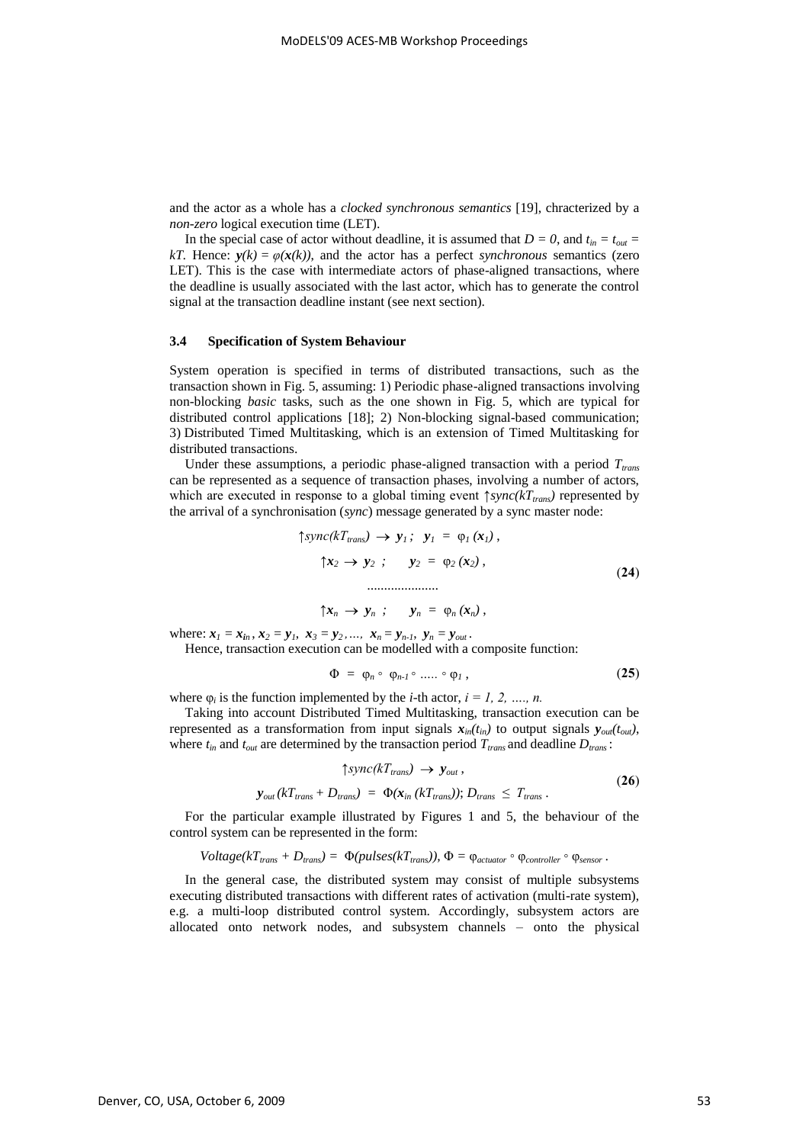and the actor as a whole has a *clocked synchronous semantics* [19], chracterized by a *non-zero* logical execution time (LET).

In the special case of actor without deadline, it is assumed that  $D = 0$ , and  $t_{in} = t_{out}$ *kT.* Hence:  $y(k) = \varphi(x(k))$ , and the actor has a perfect *synchronous* semantics (zero LET). This is the case with intermediate actors of phase-aligned transactions, where the deadline is usually associated with the last actor, which has to generate the control signal at the transaction deadline instant (see next section).

#### **3.4 Specification of System Behaviour**

System operation is specified in terms of distributed transactions, such as the transaction shown in Fig. 5, assuming: 1) Periodic phase-aligned transactions involving non-blocking *basic* tasks, such as the one shown in Fig. 5, which are typical for distributed control applications [18]; 2) Non-blocking signal-based communication; 3) Distributed Timed Multitasking, which is an extension of Timed Multitasking for distributed transactions.

Under these assumptions, a periodic phase-aligned transaction with a period *Ttrans* can be represented as a sequence of transaction phases, involving a number of actors, which are executed in response to a global timing event  $\uparrow$ *sync*( $kT$ <sub>*trans*</sub>) represented by the arrival of a synchronisation (*sync*) message generated by a sync master node:

$$
\uparrow \text{sync}(kT_{trans}) \rightarrow y_1; \quad y_1 = \varphi_1(x_1),
$$
\n
$$
\uparrow x_2 \rightarrow y_2; \quad y_2 = \varphi_2(x_2),
$$
\n
$$
\dots
$$
\n(24)

$$
\uparrow x_n \rightarrow y_n ; \quad y_n = \varphi_n(x_n) ,
$$

where:  $x_1 = x_{in}$ ,  $x_2 = y_1$ ,  $x_3 = y_2$ , ...,  $x_n = y_{n-1}$ ,  $y_n = y_{out}$ .

Hence, transaction execution can be modelled with a composite function:

$$
\Phi = \varphi_n \circ \varphi_{n-1} \circ \dots \circ \varphi_1 , \qquad (25)
$$

where  $\varphi_i$  is the function implemented by the *i*-th actor, *i* = *l*, 2, ..., *n*.

Taking into account Distributed Timed Multitasking, transaction execution can be represented as a transformation from input signals  $x_{in}(t_{in})$  to output signals  $y_{out}(t_{out})$ , where  $t_{in}$  and  $t_{out}$  are determined by the transaction period  $T_{trans}$  and deadline  $D_{trans}$ :

$$
\uparrow \text{sync}(k_{Trans}) \rightarrow y_{out},
$$
  
\n
$$
y_{out}(k_{Trans} + D_{trans}) = \Phi(x_{in} (k_{Trans})); D_{trans} \leq T_{trans}.
$$
 (26)

For the particular example illustrated by Figures 1 and 5, the behaviour of the control system can be represented in the form:

$$
Voltage(kT_{trans} + D_{trans}) = \Phi(pulses(kT_{trans}))
$$
,  $\Phi = \varphi_{actuator} \circ \varphi_{controller} \circ \varphi_{sensor}$ .

In the general case, the distributed system may consist of multiple subsystems executing distributed transactions with different rates of activation (multi-rate system), e.g. a multi-loop distributed control system. Accordingly, subsystem actors are allocated onto network nodes, and subsystem channels – onto the physical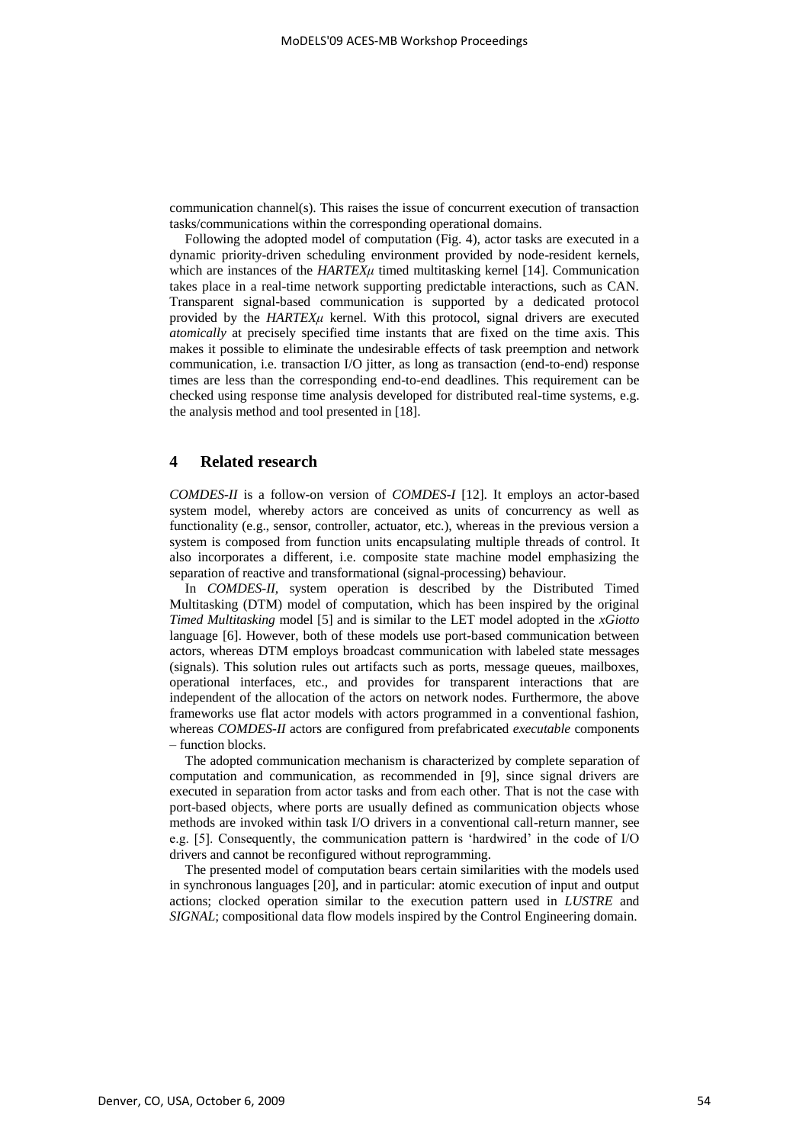communication channel(s). This raises the issue of concurrent execution of transaction tasks/communications within the corresponding operational domains.

Following the adopted model of computation (Fig. 4), actor tasks are executed in a dynamic priority-driven scheduling environment provided by node-resident kernels, which are instances of the *HARTEXu* timed multitasking kernel [14]. Communication takes place in a real-time network supporting predictable interactions, such as CAN. Transparent signal-based communication is supported by a dedicated protocol provided by the **HARTEX** $\mu$  kernel. With this protocol, signal drivers are executed *atomically* at precisely specified time instants that are fixed on the time axis. This makes it possible to eliminate the undesirable effects of task preemption and network communication, i.e. transaction I/O jitter, as long as transaction (end-to-end) response times are less than the corresponding end-to-end deadlines. This requirement can be checked using response time analysis developed for distributed real-time systems, e.g. the analysis method and tool presented in [18].

## **4 Related research**

*COMDES-II* is a follow-on version of *COMDES-I* [12]. It employs an actor-based system model, whereby actors are conceived as units of concurrency as well as functionality (e.g., sensor, controller, actuator, etc.), whereas in the previous version a system is composed from function units encapsulating multiple threads of control. It also incorporates a different, i.e. composite state machine model emphasizing the separation of reactive and transformational (signal-processing) behaviour.

In *COMDES-II*, system operation is described by the Distributed Timed Multitasking (DTM) model of computation, which has been inspired by the original *Timed Multitasking* model [5] and is similar to the LET model adopted in the *xGiotto* language [6]. However, both of these models use port-based communication between actors, whereas DTM employs broadcast communication with labeled state messages (signals). This solution rules out artifacts such as ports, message queues, mailboxes, operational interfaces, etc., and provides for transparent interactions that are independent of the allocation of the actors on network nodes. Furthermore, the above frameworks use flat actor models with actors programmed in a conventional fashion, whereas *COMDES-II* actors are configured from prefabricated *executable* components – function blocks.

The adopted communication mechanism is characterized by complete separation of computation and communication, as recommended in [9], since signal drivers are executed in separation from actor tasks and from each other. That is not the case with port-based objects, where ports are usually defined as communication objects whose methods are invoked within task I/O drivers in a conventional call-return manner, see e.g. [5]. Consequently, the communication pattern is "hardwired" in the code of I/O drivers and cannot be reconfigured without reprogramming.

The presented model of computation bears certain similarities with the models used in synchronous languages [20], and in particular: atomic execution of input and output actions; clocked operation similar to the execution pattern used in *LUSTRE* and *SIGNAL*; compositional data flow models inspired by the Control Engineering domain.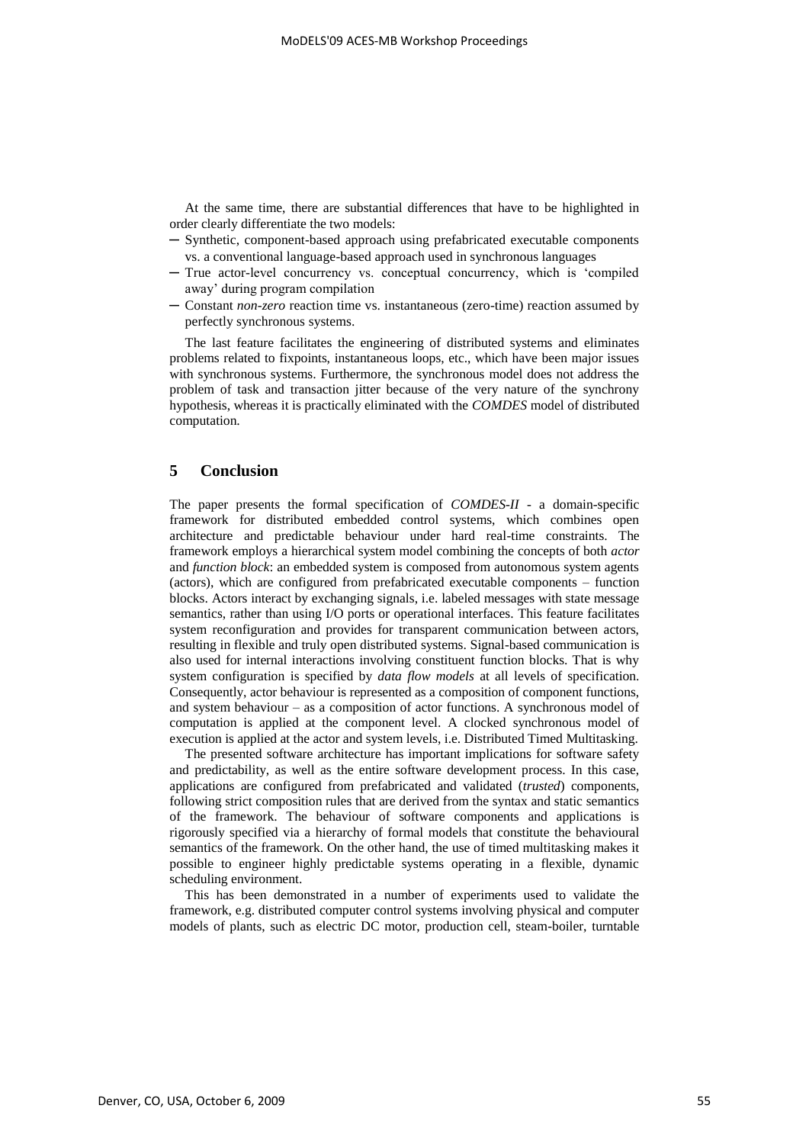At the same time, there are substantial differences that have to be highlighted in order clearly differentiate the two models:

- ─ Synthetic, component-based approach using prefabricated executable components vs. a conventional language-based approach used in synchronous languages
- ─ True actor-level concurrency vs. conceptual concurrency, which is "compiled away" during program compilation
- ─ Constant *non-zero* reaction time vs. instantaneous (zero-time) reaction assumed by perfectly synchronous systems.

The last feature facilitates the engineering of distributed systems and eliminates problems related to fixpoints, instantaneous loops, etc., which have been major issues with synchronous systems. Furthermore, the synchronous model does not address the problem of task and transaction jitter because of the very nature of the synchrony hypothesis, whereas it is practically eliminated with the *COMDES* model of distributed computation.

# **5 Conclusion**

The paper presents the formal specification of *COMDES-II* - a domain-specific framework for distributed embedded control systems, which combines open architecture and predictable behaviour under hard real-time constraints. The framework employs a hierarchical system model combining the concepts of both *actor* and *function block*: an embedded system is composed from autonomous system agents (actors), which are configured from prefabricated executable components – function blocks. Actors interact by exchanging signals, i.e. labeled messages with state message semantics, rather than using I/O ports or operational interfaces. This feature facilitates system reconfiguration and provides for transparent communication between actors, resulting in flexible and truly open distributed systems. Signal-based communication is also used for internal interactions involving constituent function blocks. That is why system configuration is specified by *data flow models* at all levels of specification. Consequently, actor behaviour is represented as a composition of component functions, and system behaviour – as a composition of actor functions. A synchronous model of computation is applied at the component level. A clocked synchronous model of execution is applied at the actor and system levels, i.e. Distributed Timed Multitasking.

The presented software architecture has important implications for software safety and predictability, as well as the entire software development process. In this case, applications are configured from prefabricated and validated (*trusted*) components, following strict composition rules that are derived from the syntax and static semantics of the framework. The behaviour of software components and applications is rigorously specified via a hierarchy of formal models that constitute the behavioural semantics of the framework. On the other hand, the use of timed multitasking makes it possible to engineer highly predictable systems operating in a flexible, dynamic scheduling environment.

This has been demonstrated in a number of experiments used to validate the framework, e.g. distributed computer control systems involving physical and computer models of plants, such as electric DC motor, production cell, steam-boiler, turntable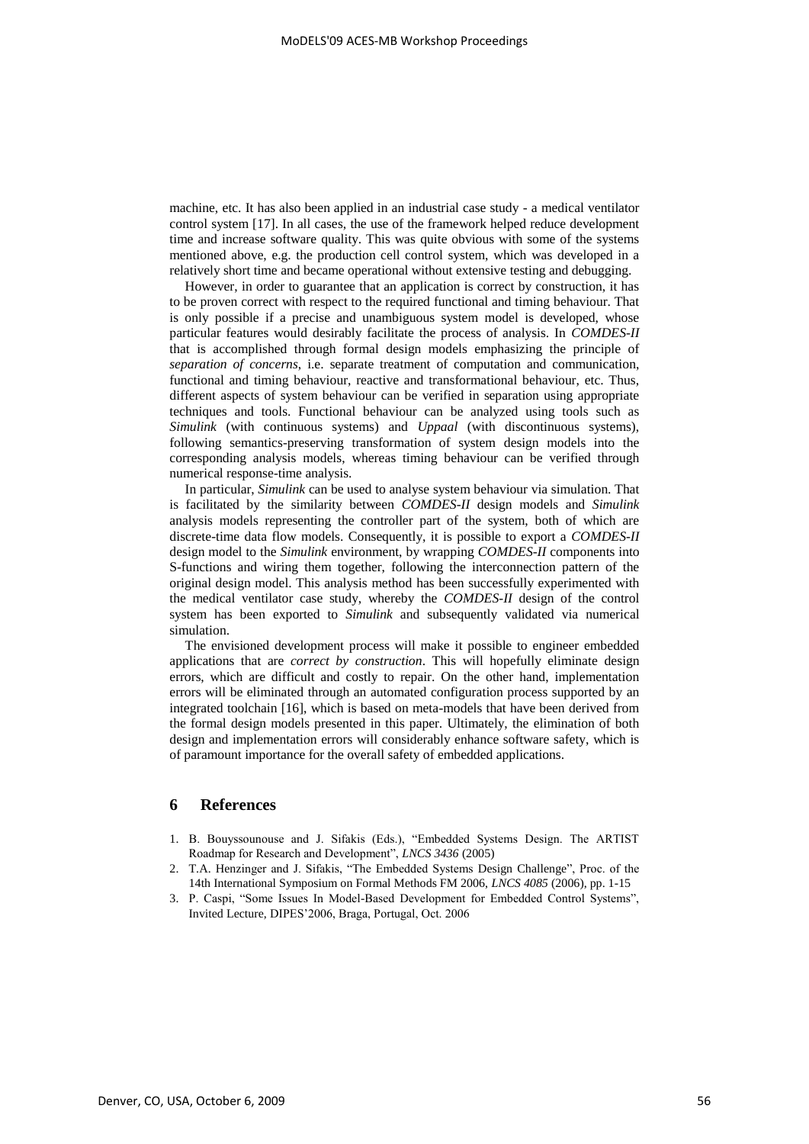machine, etc. It has also been applied in an industrial case study - a medical ventilator control system [17]. In all cases, the use of the framework helped reduce development time and increase software quality. This was quite obvious with some of the systems mentioned above, e.g. the production cell control system, which was developed in a relatively short time and became operational without extensive testing and debugging.

However, in order to guarantee that an application is correct by construction, it has to be proven correct with respect to the required functional and timing behaviour. That is only possible if a precise and unambiguous system model is developed, whose particular features would desirably facilitate the process of analysis. In *COMDES-II* that is accomplished through formal design models emphasizing the principle of *separation of concerns*, i.e. separate treatment of computation and communication, functional and timing behaviour, reactive and transformational behaviour, etc. Thus, different aspects of system behaviour can be verified in separation using appropriate techniques and tools. Functional behaviour can be analyzed using tools such as *Simulink* (with continuous systems) and *Uppaal* (with discontinuous systems), following semantics-preserving transformation of system design models into the corresponding analysis models, whereas timing behaviour can be verified through numerical response-time analysis.

In particular, *Simulink* can be used to analyse system behaviour via simulation. That is facilitated by the similarity between *COMDES-II* design models and *Simulink* analysis models representing the controller part of the system, both of which are discrete-time data flow models. Consequently, it is possible to export a *COMDES-II* design model to the *Simulink* environment, by wrapping *COMDES-II* components into S-functions and wiring them together, following the interconnection pattern of the original design model. This analysis method has been successfully experimented with the medical ventilator case study, whereby the *COMDES-II* design of the control system has been exported to *Simulink* and subsequently validated via numerical simulation.

The envisioned development process will make it possible to engineer embedded applications that are *correct by construction*. This will hopefully eliminate design errors, which are difficult and costly to repair. On the other hand, implementation errors will be eliminated through an automated configuration process supported by an integrated toolchain [16], which is based on meta-models that have been derived from the formal design models presented in this paper. Ultimately, the elimination of both design and implementation errors will considerably enhance software safety, which is of paramount importance for the overall safety of embedded applications.

## **6 References**

- 1. B. Bouyssounouse and J. Sifakis (Eds.), "Embedded Systems Design. The ARTIST Roadmap for Research and Development", *LNCS 3436* (2005)
- 2. T.A. Henzinger and J. Sifakis, "The Embedded Systems Design Challenge", Proc. of the 14th International Symposium on Formal Methods FM 2006, *LNCS 4085* (2006), pp. 1-15
- 3. P. Caspi, "Some Issues In Model-Based Development for Embedded Control Systems", Invited Lecture, DIPES"2006, Braga, Portugal, Oct. 2006